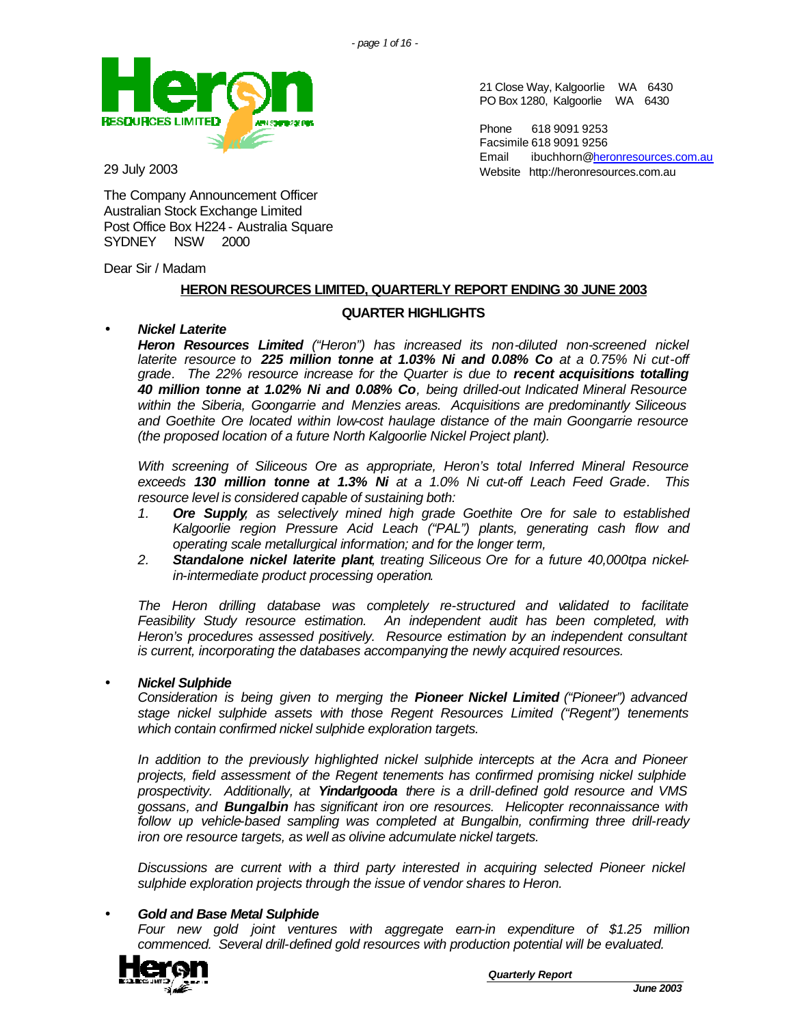21 Close Way, Kalgoorlie WA 6430 PO Box 1280, Kalgoorlie WA 6430

Email ibuchhorn@heronresources.com.au Website http://heronresources.com.au

Phone 618 9091 9253 Facsimile 618 9091 9256



29 July 2003

The Company Announcement Officer Australian Stock Exchange Limited Post Office Box H224 - Australia Square SYDNEY NSW 2000

Dear Sir / Madam

## **HERON RESOURCES LIMITED, QUARTERLY REPORT ENDING 30 JUNE 2003**

### **QUARTER HIGHLIGHTS**

## • *Nickel Laterite*

*Heron Resources Limited ("Heron") has increased its non-diluted non-screened nickel laterite resource to 225 million tonne at 1.03% Ni and 0.08% Co at a 0.75% Ni cut-off grade. The 22% resource increase for the Quarter is due to recent acquisitions totalling 40 million tonne at 1.02% Ni and 0.08% Co, being drilled-out Indicated Mineral Resource within the Siberia, Goongarrie and Menzies areas. Acquisitions are predominantly Siliceous and Goethite Ore located within low-cost haulage distance of the main Goongarrie resource (the proposed location of a future North Kalgoorlie Nickel Project plant).*

*With screening of Siliceous Ore as appropriate, Heron's total Inferred Mineral Resource exceeds 130 million tonne at 1.3% Ni at a 1.0% Ni cut-off Leach Feed Grade. This resource level is considered capable of sustaining both:*

- *1. Ore Supply, as selectively mined high grade Goethite Ore for sale to established Kalgoorlie region Pressure Acid Leach ("PAL") plants, generating cash flow and operating scale metallurgical information; and for the longer term,*
- *2. Standalone nickel laterite plant, treating Siliceous Ore for a future 40,000tpa nickelin-intermediate product processing operation.*

*The Heron drilling database was completely re-structured and validated to facilitate Feasibility Study resource estimation. An independent audit has been completed, with Heron's procedures assessed positively. Resource estimation by an independent consultant is current, incorporating the databases accompanying the newly acquired resources.*

### • *Nickel Sulphide*

*Consideration is being given to merging the Pioneer Nickel Limited ("Pioneer") advanced stage nickel sulphide assets with those Regent Resources Limited ("Regent") tenements which contain confirmed nickel sulphide exploration targets.*

*In addition to the previously highlighted nickel sulphide intercepts at the Acra and Pioneer projects, field assessment of the Regent tenements has confirmed promising nickel sulphide prospectivity. Additionally, at Yindarlgooda there is a drill-defined gold resource and VMS gossans, and Bungalbin has significant iron ore resources. Helicopter reconnaissance with follow up vehicle-based sampling was completed at Bungalbin, confirming three drill-ready iron ore resource targets, as well as olivine adcumulate nickel targets.*

*Discussions are current with a third party interested in acquiring selected Pioneer nickel sulphide exploration projects through the issue of vendor shares to Heron.*

### • *Gold and Base Metal Sulphide*

*Four new gold joint ventures with aggregate earn-in expenditure of \$1.25 million commenced. Several drill-defined gold resources with production potential will be evaluated.*

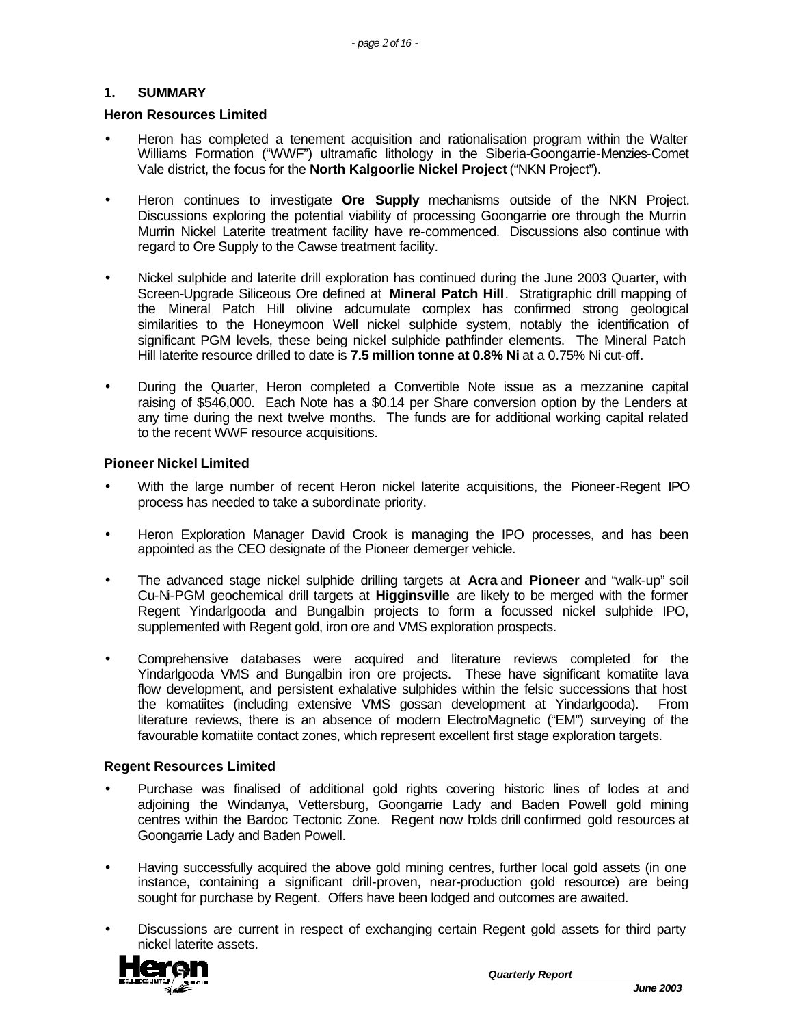## **1. SUMMARY**

### **Heron Resources Limited**

- Heron has completed a tenement acquisition and rationalisation program within the Walter Williams Formation ("WWF") ultramafic lithology in the Siberia-Goongarrie-Menzies-Comet Vale district, the focus for the **North Kalgoorlie Nickel Project** ("NKN Project").
- Heron continues to investigate **Ore Supply** mechanisms outside of the NKN Project. Discussions exploring the potential viability of processing Goongarrie ore through the Murrin Murrin Nickel Laterite treatment facility have re-commenced. Discussions also continue with regard to Ore Supply to the Cawse treatment facility.
- Nickel sulphide and laterite drill exploration has continued during the June 2003 Quarter, with Screen-Upgrade Siliceous Ore defined at **Mineral Patch Hill**. Stratigraphic drill mapping of the Mineral Patch Hill olivine adcumulate complex has confirmed strong geological similarities to the Honeymoon Well nickel sulphide system, notably the identification of significant PGM levels, these being nickel sulphide pathfinder elements. The Mineral Patch Hill laterite resource drilled to date is **7.5 million tonne at 0.8% Ni** at a 0.75% Ni cut-off.
- During the Quarter, Heron completed a Convertible Note issue as a mezzanine capital raising of \$546,000. Each Note has a \$0.14 per Share conversion option by the Lenders at any time during the next twelve months. The funds are for additional working capital related to the recent WWF resource acquisitions.

### **Pioneer Nickel Limited**

- With the large number of recent Heron nickel laterite acquisitions, the Pioneer-Regent IPO process has needed to take a subordinate priority.
- Heron Exploration Manager David Crook is managing the IPO processes, and has been appointed as the CEO designate of the Pioneer demerger vehicle.
- The advanced stage nickel sulphide drilling targets at **Acra** and **Pioneer** and "walk-up" soil Cu-Ni-PGM geochemical drill targets at **Higginsville** are likely to be merged with the former Regent Yindarlgooda and Bungalbin projects to form a focussed nickel sulphide IPO, supplemented with Regent gold, iron ore and VMS exploration prospects.
- Comprehensive databases were acquired and literature reviews completed for the Yindarlgooda VMS and Bungalbin iron ore projects. These have significant komatiite lava flow development, and persistent exhalative sulphides within the felsic successions that host the komatiites (including extensive VMS gossan development at Yindarlgooda). From literature reviews, there is an absence of modern ElectroMagnetic ("EM") surveying of the favourable komatiite contact zones, which represent excellent first stage exploration targets.

### **Regent Resources Limited**

- Purchase was finalised of additional gold rights covering historic lines of lodes at and adjoining the Windanya, Vettersburg, Goongarrie Lady and Baden Powell gold mining centres within the Bardoc Tectonic Zone. Regent now holds drill confirmed gold resources at Goongarrie Lady and Baden Powell.
- Having successfully acquired the above gold mining centres, further local gold assets (in one instance, containing a significant drill-proven, near-production gold resource) are being sought for purchase by Regent. Offers have been lodged and outcomes are awaited.
- Discussions are current in respect of exchanging certain Regent gold assets for third party nickel laterite assets.

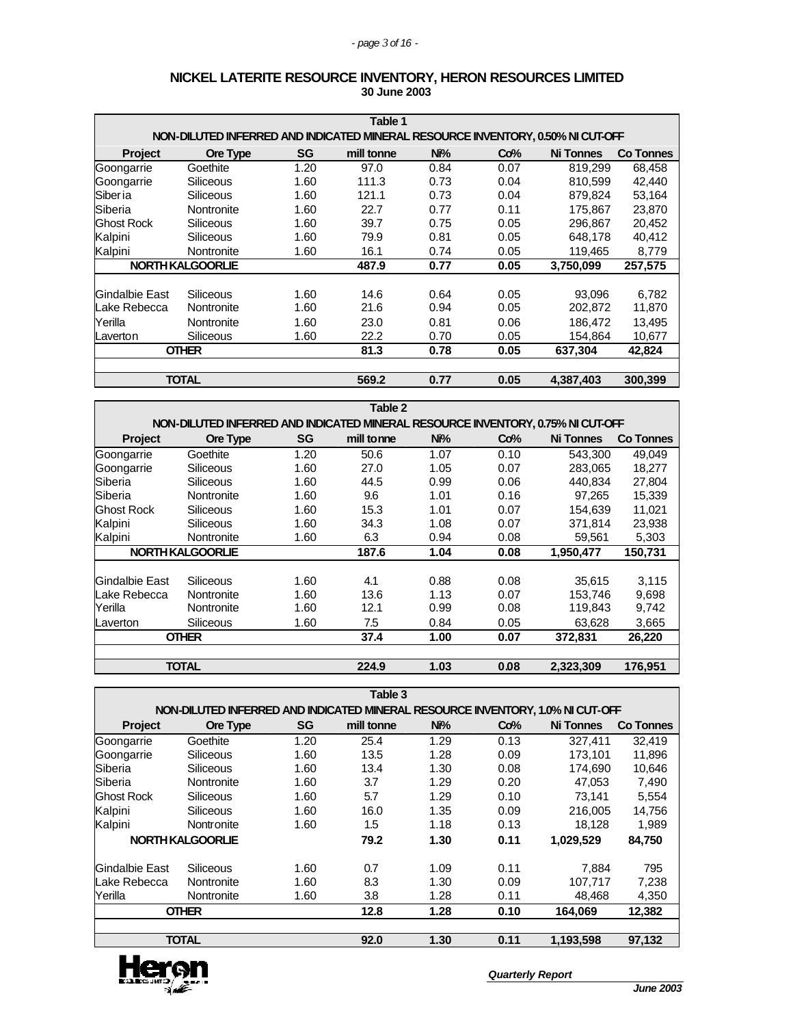|                   | Table 1                                                                         |      |            |      |      |                  |           |
|-------------------|---------------------------------------------------------------------------------|------|------------|------|------|------------------|-----------|
|                   | NON-DILUTED INFERRED AND INDICATED MINERAL RESOURCE INVENTORY, 0.50% NI CUT-OFF |      |            |      |      |                  |           |
| <b>Project</b>    | Ore Type                                                                        | SG   | mill tonne | Ni%  | Co%  | <b>Ni Tonnes</b> | Co Tonnes |
| Goongarrie        | Goethite                                                                        | 1.20 | 97.0       | 0.84 | 0.07 | 819,299          | 68,458    |
| Goongarrie        | Siliceous                                                                       | 1.60 | 111.3      | 0.73 | 0.04 | 810.599          | 42,440    |
| Siber ia          | <b>Siliceous</b>                                                                | 1.60 | 121.1      | 0.73 | 0.04 | 879,824          | 53,164    |
| Siberia           | Nontronite                                                                      | 1.60 | 22.7       | 0.77 | 0.11 | 175.867          | 23.870    |
| <b>Ghost Rock</b> | Siliceous                                                                       | 1.60 | 39.7       | 0.75 | 0.05 | 296.867          | 20,452    |
| Kalpini           | Siliceous                                                                       | 1.60 | 79.9       | 0.81 | 0.05 | 648,178          | 40,412    |
| Kalpini           | Nontronite                                                                      | 1.60 | 16.1       | 0.74 | 0.05 | 119,465          | 8,779     |
|                   | NORTH KALGOORLIE                                                                |      | 487.9      | 0.77 | 0.05 | 3,750,099        | 257,575   |
|                   |                                                                                 |      |            |      |      |                  |           |
| Gindalbie East    | <b>Siliceous</b>                                                                | 1.60 | 14.6       | 0.64 | 0.05 | 93.096           | 6,782     |
| Lake Rebecca      | Nontronite                                                                      | 1.60 | 21.6       | 0.94 | 0.05 | 202,872          | 11,870    |
| Yerilla           | Nontronite                                                                      | 1.60 | 23.0       | 0.81 | 0.06 | 186.472          | 13.495    |
| Laverton          | Siliceous                                                                       | 1.60 | 22.2       | 0.70 | 0.05 | 154,864          | 10,677    |
|                   | <b>OTHER</b>                                                                    |      | 81.3       | 0.78 | 0.05 | 637,304          | 42,824    |
|                   |                                                                                 |      |            |      |      |                  |           |
|                   | <b>TOTAL</b>                                                                    |      | 569.2      | 0.77 | 0.05 | 4,387,403        | 300,399   |

#### **NICKEL LATERITE RESOURCE INVENTORY, HERON RESOURCES LIMITED 30 June 2003**

|                   | Table 2                                                                         |      |            |      |      |                  |           |
|-------------------|---------------------------------------------------------------------------------|------|------------|------|------|------------------|-----------|
|                   | NON-DILUTED INFERRED AND INDICATED MINERAL RESOURCE INVENTORY, 0.75% NI CUT-OFF |      |            |      |      |                  |           |
| <b>Project</b>    | Ore Type                                                                        | SG   | mill tonne | Ni%  | Co%  | <b>Ni Tonnes</b> | Co Tonnes |
| Goongarrie        | Goethite                                                                        | 1.20 | 50.6       | 1.07 | 0.10 | 543,300          | 49,049    |
| Goongarrie        | <b>Siliceous</b>                                                                | 1.60 | 27.0       | 1.05 | 0.07 | 283,065          | 18,277    |
| Siberia           | Siliceous                                                                       | 1.60 | 44.5       | 0.99 | 0.06 | 440.834          | 27.804    |
| Siberia           | Nontronite                                                                      | 1.60 | 9.6        | 1.01 | 0.16 | 97,265           | 15,339    |
| <b>Ghost Rock</b> | <b>Siliceous</b>                                                                | 1.60 | 15.3       | 1.01 | 0.07 | 154,639          | 11.021    |
| Kalpini           | <b>Siliceous</b>                                                                | 1.60 | 34.3       | 1.08 | 0.07 | 371,814          | 23,938    |
| Kalpini           | Nontronite                                                                      | 1.60 | 6.3        | 0.94 | 0.08 | 59,561           | 5,303     |
|                   | NORTH KALGOORLIE                                                                |      | 187.6      | 1.04 | 0.08 | 1,950,477        | 150,731   |
|                   |                                                                                 |      |            |      |      |                  |           |
| Gindalbie East    | Siliceous                                                                       | 1.60 | 4.1        | 0.88 | 0.08 | 35.615           | 3,115     |
| Lake Rebecca      | Nontronite                                                                      | 1.60 | 13.6       | 1.13 | 0.07 | 153,746          | 9,698     |
| Yerilla           | Nontronite                                                                      | 1.60 | 12.1       | 0.99 | 0.08 | 119,843          | 9,742     |
| Laverton          | <b>Siliceous</b>                                                                | 1.60 | 7.5        | 0.84 | 0.05 | 63,628           | 3,665     |
|                   | <b>OTHER</b>                                                                    |      | 37.4       | 1.00 | 0.07 | 372,831          | 26,220    |
|                   |                                                                                 |      |            |      |      |                  |           |
|                   | <b>TOTAL</b>                                                                    |      | 224.9      | 1.03 | 0.08 | 2,323,309        | 176,951   |

|                   | Table 3                                                                        |           |            |      |      |                  |           |  |
|-------------------|--------------------------------------------------------------------------------|-----------|------------|------|------|------------------|-----------|--|
|                   | NON-DILUTED INFERRED AND INDICATED MINERAL RESOURCE INVENTORY, 1.0% NI CUT-OFF |           |            |      |      |                  |           |  |
| Project           | Ore Type                                                                       | <b>SG</b> | mill tonne | Ni%  | Co%  | <b>Ni Tonnes</b> | Co Tonnes |  |
| Goongarrie        | Goethite                                                                       | 1.20      | 25.4       | 1.29 | 0.13 | 327,411          | 32.419    |  |
| Goongarrie        | <b>Siliceous</b>                                                               | 1.60      | 13.5       | 1.28 | 0.09 | 173.101          | 11,896    |  |
| Siberia           | Siliceous                                                                      | 1.60      | 13.4       | 1.30 | 0.08 | 174.690          | 10,646    |  |
| Siberia           | Nontronite                                                                     | 1.60      | 3.7        | 1.29 | 0.20 | 47,053           | 7,490     |  |
| <b>Ghost Rock</b> | <b>Siliceous</b>                                                               | 1.60      | 5.7        | 1.29 | 0.10 | 73,141           | 5,554     |  |
| Kalpini           | <b>Siliceous</b>                                                               | 1.60      | 16.0       | 1.35 | 0.09 | 216,005          | 14,756    |  |
| Kalpini           | Nontronite                                                                     | 1.60      | 1.5        | 1.18 | 0.13 | 18,128           | 1,989     |  |
|                   | <b>NORTH KALGOORLIE</b>                                                        |           | 79.2       | 1.30 | 0.11 | 1,029,529        | 84,750    |  |
| Gindalbie East    | Siliceous                                                                      | 1.60      | 0.7        | 1.09 | 0.11 | 7,884            | 795       |  |
| Lake Rebecca      | Nontronite                                                                     | 1.60      | 8.3        | 1.30 | 0.09 | 107.717          | 7,238     |  |
| Yerilla           | Nontronite                                                                     | 1.60      | 3.8        | 1.28 | 0.11 | 48,468           | 4,350     |  |
|                   | <b>OTHER</b>                                                                   |           | 12.8       | 1.28 | 0.10 | 164.069          | 12,382    |  |
|                   | <b>TOTAL</b><br>92.0<br>1.30<br>0.11<br>1,193,598<br>97,132                    |           |            |      |      |                  |           |  |

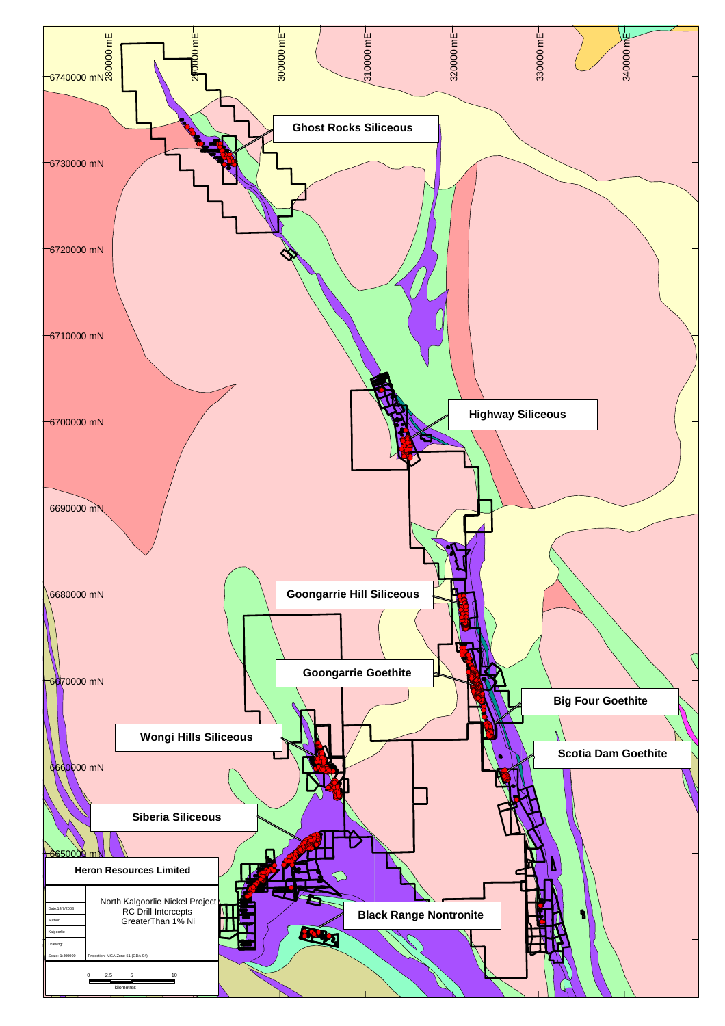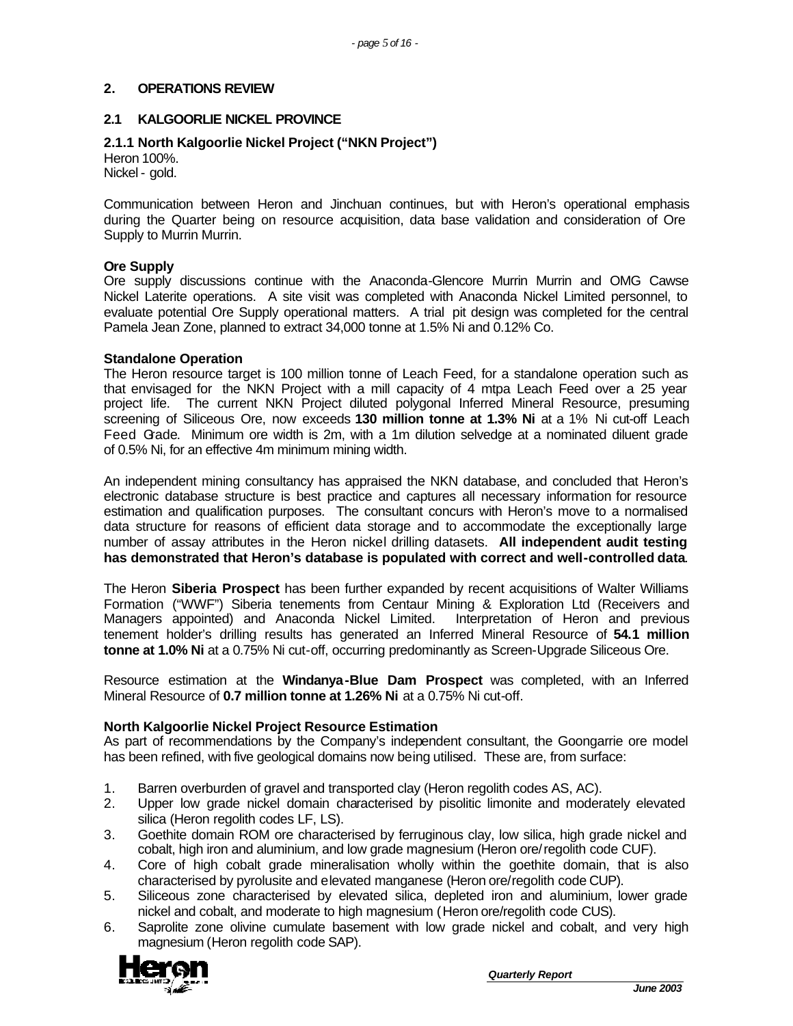### **2. OPERATIONS REVIEW**

### **2.1 KALGOORLIE NICKEL PROVINCE**

### **2.1.1 North Kalgoorlie Nickel Project ("NKN Project")**

Heron 100%. Nickel - gold.

Communication between Heron and Jinchuan continues, but with Heron's operational emphasis during the Quarter being on resource acquisition, data base validation and consideration of Ore Supply to Murrin Murrin.

#### **Ore Supply**

Ore supply discussions continue with the Anaconda-Glencore Murrin Murrin and OMG Cawse Nickel Laterite operations. A site visit was completed with Anaconda Nickel Limited personnel, to evaluate potential Ore Supply operational matters. A trial pit design was completed for the central Pamela Jean Zone, planned to extract 34,000 tonne at 1.5% Ni and 0.12% Co.

#### **Standalone Operation**

The Heron resource target is 100 million tonne of Leach Feed, for a standalone operation such as that envisaged for the NKN Project with a mill capacity of 4 mtpa Leach Feed over a 25 year project life. The current NKN Project diluted polygonal Inferred Mineral Resource, presuming screening of Siliceous Ore, now exceeds **130 million tonne at 1.3% Ni** at a 1% Ni cut-off Leach Feed Grade. Minimum ore width is 2m, with a 1m dilution selvedge at a nominated diluent grade of 0.5% Ni, for an effective 4m minimum mining width.

An independent mining consultancy has appraised the NKN database, and concluded that Heron's electronic database structure is best practice and captures all necessary information for resource estimation and qualification purposes. The consultant concurs with Heron's move to a normalised data structure for reasons of efficient data storage and to accommodate the exceptionally large number of assay attributes in the Heron nickel drilling datasets. **All independent audit testing has demonstrated that Heron's database is populated with correct and well-controlled data**.

The Heron **Siberia Prospect** has been further expanded by recent acquisitions of Walter Williams Formation ("WWF") Siberia tenements from Centaur Mining & Exploration Ltd (Receivers and Managers appointed) and Anaconda Nickel Limited. Interpretation of Heron and previous tenement holder's drilling results has generated an Inferred Mineral Resource of **54.1 million tonne at 1.0% Ni** at a 0.75% Ni cut-off, occurring predominantly as Screen-Upgrade Siliceous Ore.

Resource estimation at the **Windanya-Blue Dam Prospect** was completed, with an Inferred Mineral Resource of **0.7 million tonne at 1.26% Ni** at a 0.75% Ni cut-off.

### **North Kalgoorlie Nickel Project Resource Estimation**

As part of recommendations by the Company's independent consultant, the Goongarrie ore model has been refined, with five geological domains now being utilised. These are, from surface:

- 1. Barren overburden of gravel and transported clay (Heron regolith codes AS, AC).
- 2. Upper low grade nickel domain characterised by pisolitic limonite and moderately elevated silica (Heron regolith codes LF, LS).
- 3. Goethite domain ROM ore characterised by ferruginous clay, low silica, high grade nickel and cobalt, high iron and aluminium, and low grade magnesium (Heron ore/regolith code CUF).
- 4. Core of high cobalt grade mineralisation wholly within the goethite domain, that is also characterised by pyrolusite and elevated manganese (Heron ore/regolith code CUP).
- 5. Siliceous zone characterised by elevated silica, depleted iron and aluminium, lower grade nickel and cobalt, and moderate to high magnesium (Heron ore/regolith code CUS).
- 6. Saprolite zone olivine cumulate basement with low grade nickel and cobalt, and very high magnesium (Heron regolith code SAP).

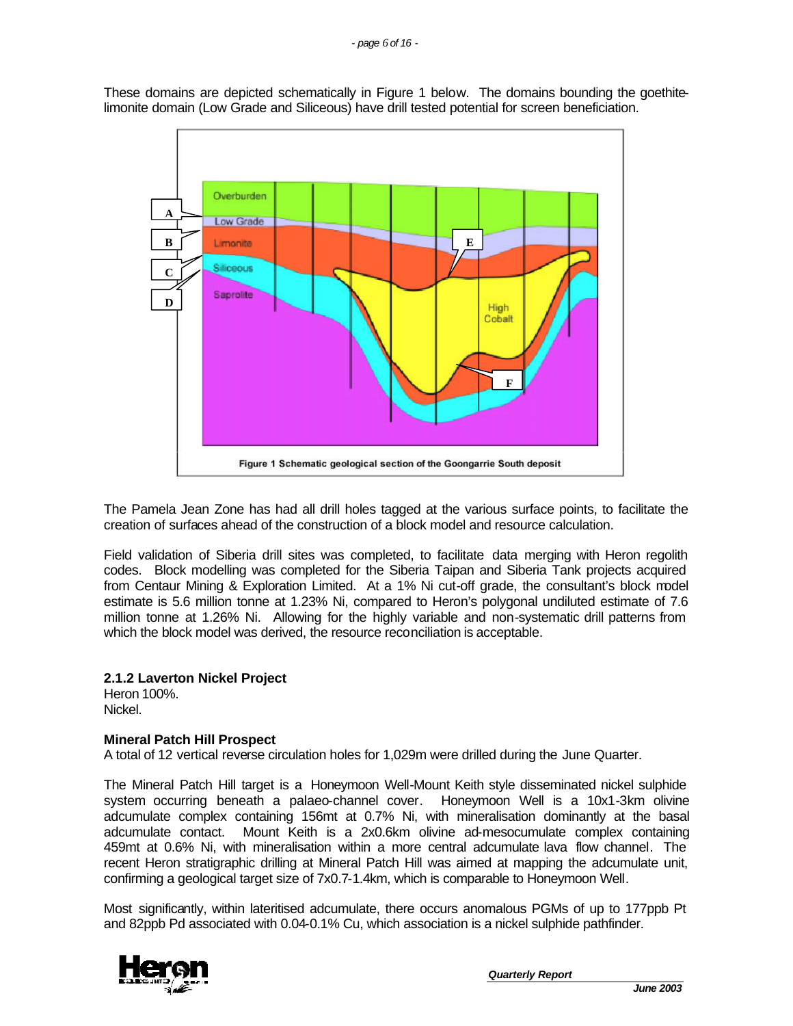These domains are depicted schematically in Figure 1 below. The domains bounding the goethitelimonite domain (Low Grade and Siliceous) have drill tested potential for screen beneficiation.



The Pamela Jean Zone has had all drill holes tagged at the various surface points, to facilitate the creation of surfaces ahead of the construction of a block model and resource calculation.

Field validation of Siberia drill sites was completed, to facilitate data merging with Heron regolith codes. Block modelling was completed for the Siberia Taipan and Siberia Tank projects acquired from Centaur Mining & Exploration Limited. At a 1% Ni cut-off grade, the consultant's block model estimate is 5.6 million tonne at 1.23% Ni, compared to Heron's polygonal undiluted estimate of 7.6 million tonne at 1.26% Ni. Allowing for the highly variable and non-systematic drill patterns from which the block model was derived, the resource reconciliation is acceptable.

## **2.1.2 Laverton Nickel Project**

Heron 100%. Nickel.

### **Mineral Patch Hill Prospect**

A total of 12 vertical reverse circulation holes for 1,029m were drilled during the June Quarter.

The Mineral Patch Hill target is a Honeymoon Well-Mount Keith style disseminated nickel sulphide system occurring beneath a palaeo-channel cover. Honeymoon Well is a 10x1-3km olivine adcumulate complex containing 156mt at 0.7% Ni, with mineralisation dominantly at the basal adcumulate contact. Mount Keith is a 2x0.6km olivine ad-mesocumulate complex containing 459mt at 0.6% Ni, with mineralisation within a more central adcumulate lava flow channel. The recent Heron stratigraphic drilling at Mineral Patch Hill was aimed at mapping the adcumulate unit, confirming a geological target size of 7x0.7-1.4km, which is comparable to Honeymoon Well.

Most significantly, within lateritised adcumulate, there occurs anomalous PGMs of up to 177ppb Pt and 82ppb Pd associated with 0.04-0.1% Cu, which association is a nickel sulphide pathfinder.

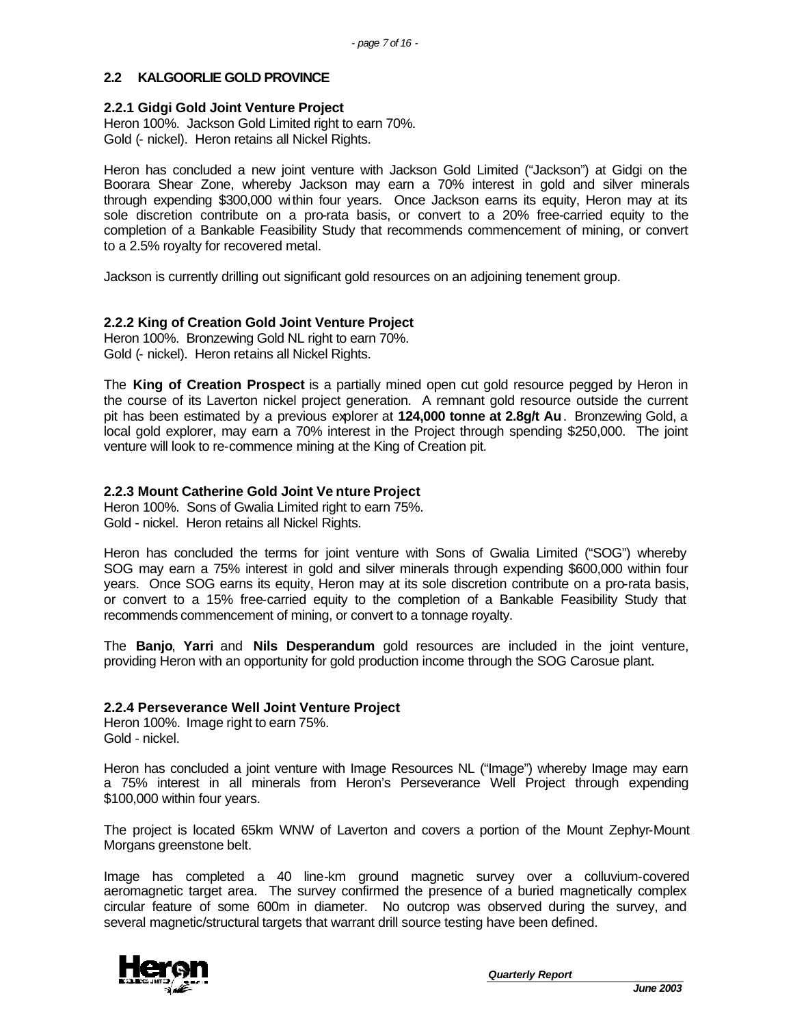## **2.2 KALGOORLIE GOLD PROVINCE**

#### **2.2.1 Gidgi Gold Joint Venture Project**

Heron 100%. Jackson Gold Limited right to earn 70%. Gold (- nickel). Heron retains all Nickel Rights.

Heron has concluded a new joint venture with Jackson Gold Limited ("Jackson") at Gidgi on the Boorara Shear Zone, whereby Jackson may earn a 70% interest in gold and silver minerals through expending \$300,000 within four years. Once Jackson earns its equity, Heron may at its sole discretion contribute on a pro-rata basis, or convert to a 20% free-carried equity to the completion of a Bankable Feasibility Study that recommends commencement of mining, or convert to a 2.5% royalty for recovered metal.

Jackson is currently drilling out significant gold resources on an adjoining tenement group.

### **2.2.2 King of Creation Gold Joint Venture Project**

Heron 100%. Bronzewing Gold NL right to earn 70%. Gold (- nickel). Heron retains all Nickel Rights.

The **King of Creation Prospect** is a partially mined open cut gold resource pegged by Heron in the course of its Laverton nickel project generation. A remnant gold resource outside the current pit has been estimated by a previous explorer at **124,000 tonne at 2.8g/t Au**. Bronzewing Gold, a local gold explorer, may earn a 70% interest in the Project through spending \$250,000. The joint venture will look to re-commence mining at the King of Creation pit.

### **2.2.3 Mount Catherine Gold Joint Ve nture Project**

Heron 100%. Sons of Gwalia Limited right to earn 75%. Gold - nickel. Heron retains all Nickel Rights.

Heron has concluded the terms for joint venture with Sons of Gwalia Limited ("SOG") whereby SOG may earn a 75% interest in gold and silver minerals through expending \$600,000 within four years. Once SOG earns its equity, Heron may at its sole discretion contribute on a pro-rata basis, or convert to a 15% free-carried equity to the completion of a Bankable Feasibility Study that recommends commencement of mining, or convert to a tonnage royalty.

The **Banjo**, **Yarri** and **Nils Desperandum** gold resources are included in the joint venture, providing Heron with an opportunity for gold production income through the SOG Carosue plant.

### **2.2.4 Perseverance Well Joint Venture Project**

Heron 100%. Image right to earn 75%. Gold - nickel.

Heron has concluded a joint venture with Image Resources NL ("Image") whereby Image may earn a 75% interest in all minerals from Heron's Perseverance Well Project through expending \$100,000 within four years.

The project is located 65km WNW of Laverton and covers a portion of the Mount Zephyr-Mount Morgans greenstone belt.

Image has completed a 40 line-km ground magnetic survey over a colluvium-covered aeromagnetic target area. The survey confirmed the presence of a buried magnetically complex circular feature of some 600m in diameter. No outcrop was observed during the survey, and several magnetic/structural targets that warrant drill source testing have been defined.

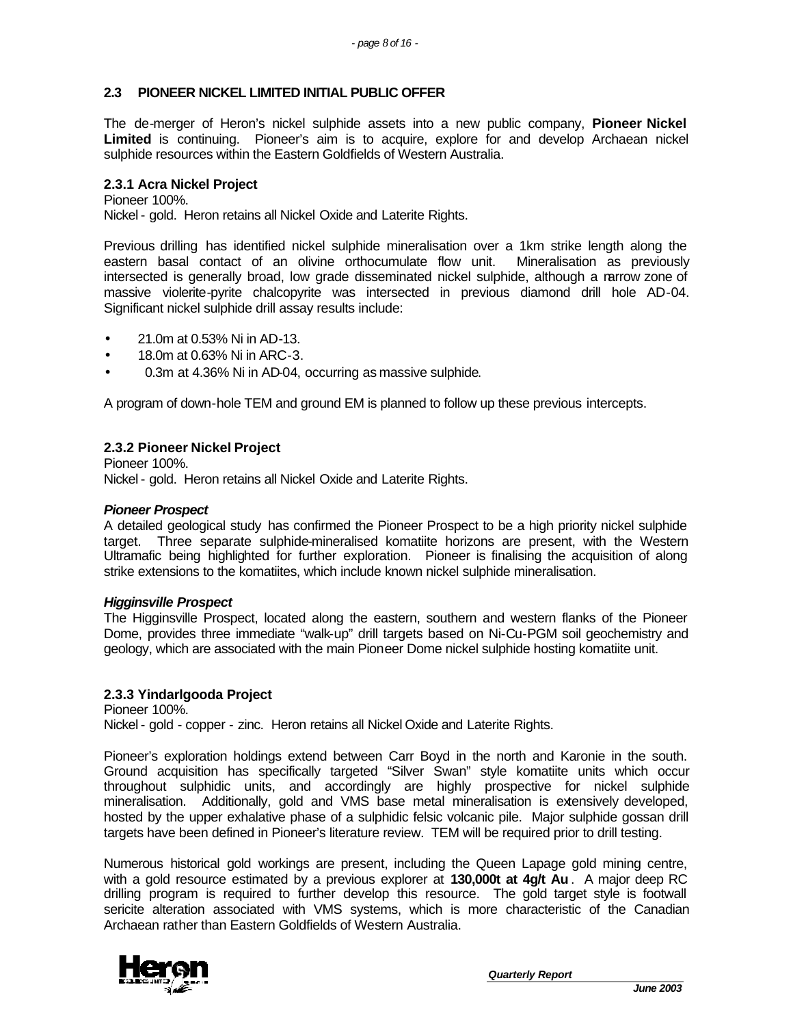### **2.3 PIONEER NICKEL LIMITED INITIAL PUBLIC OFFER**

The de-merger of Heron's nickel sulphide assets into a new public company, **Pioneer Nickel Limited** is continuing. Pioneer's aim is to acquire, explore for and develop Archaean nickel sulphide resources within the Eastern Goldfields of Western Australia.

#### **2.3.1 Acra Nickel Project**

Pioneer 100%. Nickel - gold. Heron retains all Nickel Oxide and Laterite Rights.

Previous drilling has identified nickel sulphide mineralisation over a 1km strike length along the eastern basal contact of an olivine orthocumulate flow unit. Mineralisation as previously intersected is generally broad, low grade disseminated nickel sulphide, although a narrow zone of massive violerite-pyrite chalcopyrite was intersected in previous diamond drill hole AD-04. Significant nickel sulphide drill assay results include:

- 21.0m at 0.53% Ni in AD-13.
- 18.0m at 0.63% Ni in ARC-3.
- 0.3m at 4.36% Ni in AD-04, occurring as massive sulphide.

A program of down-hole TEM and ground EM is planned to follow up these previous intercepts.

### **2.3.2 Pioneer Nickel Project**

Pioneer 100%. Nickel - gold. Heron retains all Nickel Oxide and Laterite Rights.

#### *Pioneer Prospect*

A detailed geological study has confirmed the Pioneer Prospect to be a high priority nickel sulphide target. Three separate sulphide-mineralised komatiite horizons are present, with the Western Ultramafic being highlighted for further exploration. Pioneer is finalising the acquisition of along strike extensions to the komatiites, which include known nickel sulphide mineralisation.

#### *Higginsville Prospect*

The Higginsville Prospect, located along the eastern, southern and western flanks of the Pioneer Dome, provides three immediate "walk-up" drill targets based on Ni-Cu-PGM soil geochemistry and geology, which are associated with the main Pioneer Dome nickel sulphide hosting komatiite unit.

### **2.3.3 Yindarlgooda Project**

Pioneer 100%. Nickel - gold - copper - zinc. Heron retains all Nickel Oxide and Laterite Rights.

Pioneer's exploration holdings extend between Carr Boyd in the north and Karonie in the south. Ground acquisition has specifically targeted "Silver Swan" style komatiite units which occur throughout sulphidic units, and accordingly are highly prospective for nickel sulphide mineralisation. Additionally, gold and VMS base metal mineralisation is extensively developed, hosted by the upper exhalative phase of a sulphidic felsic volcanic pile. Major sulphide gossan drill targets have been defined in Pioneer's literature review. TEM will be required prior to drill testing.

Numerous historical gold workings are present, including the Queen Lapage gold mining centre, with a gold resource estimated by a previous explorer at **130,000t at 4g/t Au** . A major deep RC drilling program is required to further develop this resource. The gold target style is footwall sericite alteration associated with VMS systems, which is more characteristic of the Canadian Archaean rather than Eastern Goldfields of Western Australia.

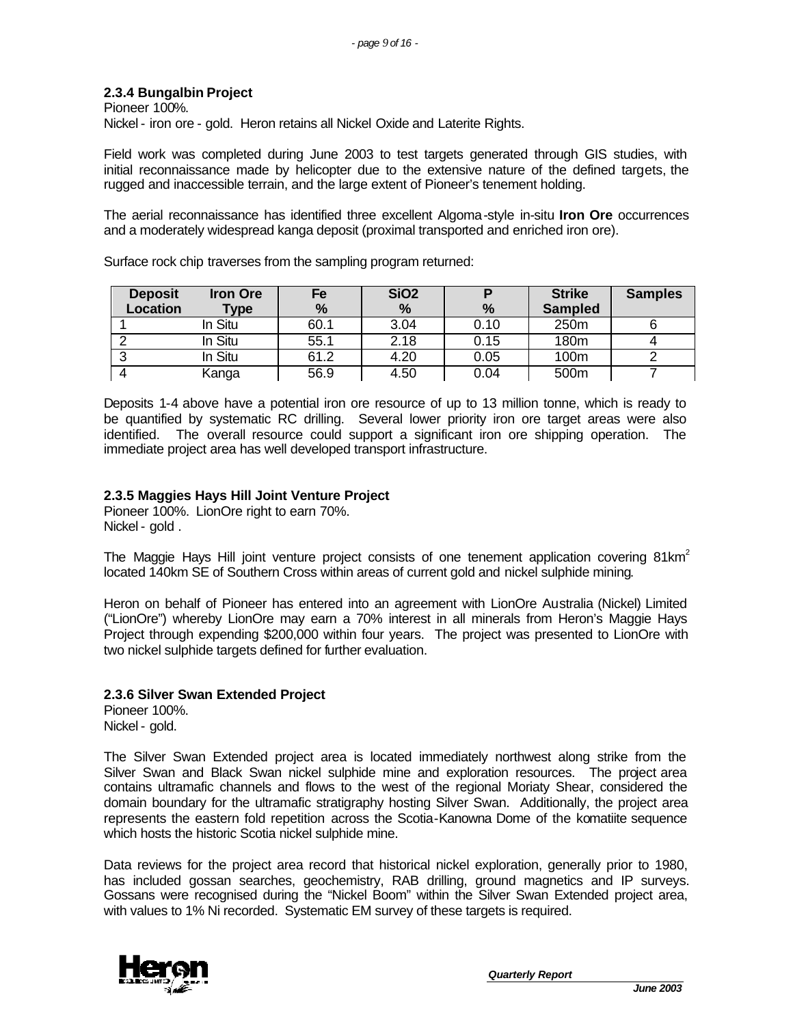## **2.3.4 Bungalbin Project**

Pioneer 100%. Nickel - iron ore - gold. Heron retains all Nickel Oxide and Laterite Rights.

Field work was completed during June 2003 to test targets generated through GIS studies, with initial reconnaissance made by helicopter due to the extensive nature of the defined targets, the rugged and inaccessible terrain, and the large extent of Pioneer's tenement holding.

The aerial reconnaissance has identified three excellent Algoma-style in-situ **Iron Ore** occurrences and a moderately widespread kanga deposit (proximal transported and enriched iron ore).

**Deposit Location Iron Ore Type Fe % SiO2 % P % Strike Sampled Samples** 1 In Situ 60.1 3.04 0.10 250m 6 2 In Situ 55.1 2.18 0.15 180m 4 3 In Situ 61.2 4.20 0.05 100m 2 4 Kanga 56.9 4.50 0.04 500m 7

Surface rock chip traverses from the sampling program returned:

Deposits 1-4 above have a potential iron ore resource of up to 13 million tonne, which is ready to be quantified by systematic RC drilling. Several lower priority iron ore target areas were also identified. The overall resource could support a significant iron ore shipping operation. The immediate project area has well developed transport infrastructure.

### **2.3.5 Maggies Hays Hill Joint Venture Project**

Pioneer 100%. LionOre right to earn 70%. Nickel - gold .

The Maggie Hays Hill joint venture project consists of one tenement application covering  $81 \text{km}^2$ located 140km SE of Southern Cross within areas of current gold and nickel sulphide mining.

Heron on behalf of Pioneer has entered into an agreement with LionOre Australia (Nickel) Limited ("LionOre") whereby LionOre may earn a 70% interest in all minerals from Heron's Maggie Hays Project through expending \$200,000 within four years. The project was presented to LionOre with two nickel sulphide targets defined for further evaluation.

### **2.3.6 Silver Swan Extended Project**

Pioneer 100%. Nickel - gold.

The Silver Swan Extended project area is located immediately northwest along strike from the Silver Swan and Black Swan nickel sulphide mine and exploration resources. The project area contains ultramafic channels and flows to the west of the regional Moriaty Shear, considered the domain boundary for the ultramafic stratigraphy hosting Silver Swan. Additionally, the project area represents the eastern fold repetition across the Scotia-Kanowna Dome of the komatiite sequence which hosts the historic Scotia nickel sulphide mine.

Data reviews for the project area record that historical nickel exploration, generally prior to 1980, has included gossan searches, geochemistry, RAB drilling, ground magnetics and IP surveys. Gossans were recognised during the "Nickel Boom" within the Silver Swan Extended project area, with values to 1% Ni recorded. Systematic EM survey of these targets is required.

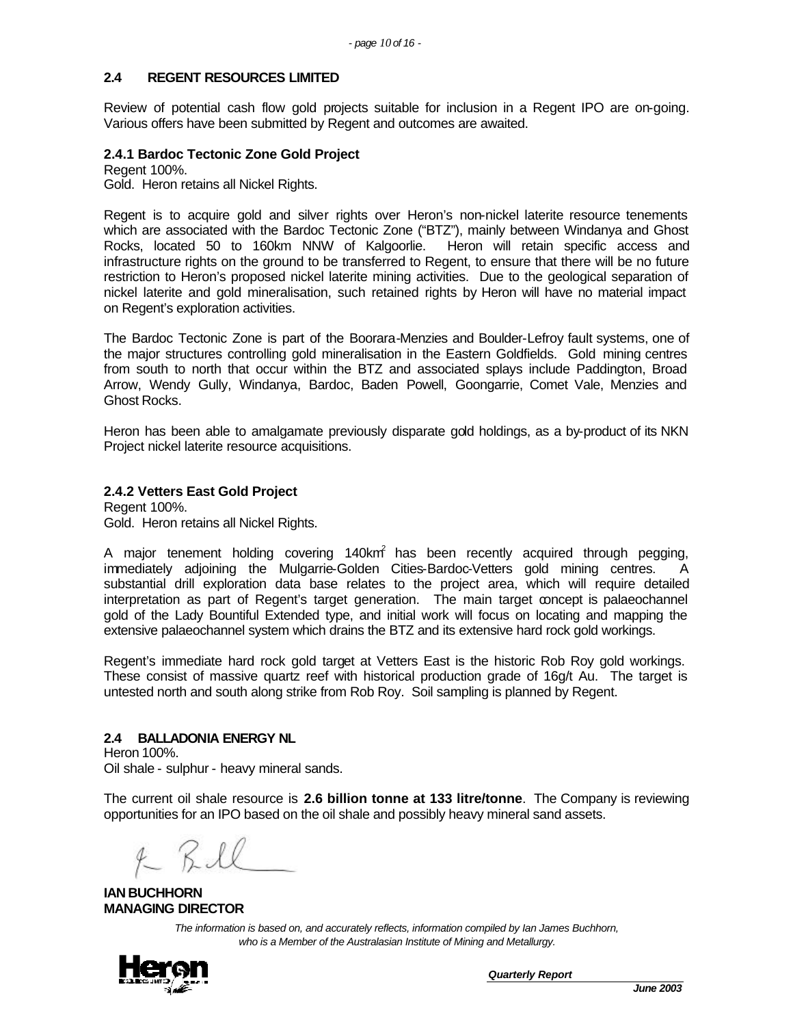### **2.4 REGENT RESOURCES LIMITED**

Review of potential cash flow gold projects suitable for inclusion in a Regent IPO are on-going. Various offers have been submitted by Regent and outcomes are awaited.

#### **2.4.1 Bardoc Tectonic Zone Gold Project**

Regent 100%. Gold. Heron retains all Nickel Rights.

Regent is to acquire gold and silver rights over Heron's non-nickel laterite resource tenements which are associated with the Bardoc Tectonic Zone ("BTZ"), mainly between Windanya and Ghost Rocks, located 50 to 160km NNW of Kalgoorlie. Heron will retain specific access and infrastructure rights on the ground to be transferred to Regent, to ensure that there will be no future restriction to Heron's proposed nickel laterite mining activities. Due to the geological separation of nickel laterite and gold mineralisation, such retained rights by Heron will have no material impact on Regent's exploration activities.

The Bardoc Tectonic Zone is part of the Boorara-Menzies and Boulder-Lefroy fault systems, one of the major structures controlling gold mineralisation in the Eastern Goldfields. Gold mining centres from south to north that occur within the BTZ and associated splays include Paddington, Broad Arrow, Wendy Gully, Windanya, Bardoc, Baden Powell, Goongarrie, Comet Vale, Menzies and Ghost Rocks.

Heron has been able to amalgamate previously disparate gold holdings, as a by-product of its NKN Project nickel laterite resource acquisitions.

### **2.4.2 Vetters East Gold Project**

Regent 100%. Gold. Heron retains all Nickel Rights.

A major tenement holding covering 140km $\hat{i}$  has been recently acquired through pegging, immediately adjoining the Mulgarrie-Golden Cities-Bardoc-Vetters gold mining centres. A substantial drill exploration data base relates to the project area, which will require detailed interpretation as part of Regent's target generation. The main target concept is palaeochannel gold of the Lady Bountiful Extended type, and initial work will focus on locating and mapping the extensive palaeochannel system which drains the BTZ and its extensive hard rock gold workings.

Regent's immediate hard rock gold target at Vetters East is the historic Rob Roy gold workings. These consist of massive quartz reef with historical production grade of 16g/t Au. The target is untested north and south along strike from Rob Roy. Soil sampling is planned by Regent.

### **2.4 BALLADONIA ENERGY NL**

Heron 100%. Oil shale - sulphur - heavy mineral sands.

The current oil shale resource is **2.6 billion tonne at 133 litre/tonne**. The Company is reviewing opportunities for an IPO based on the oil shale and possibly heavy mineral sand assets.

 $4 K$ 

**IAN BUCHHORN MANAGING DIRECTOR**

*The information is based on, and accurately reflects, information compiled by Ian James Buchhorn, who is a Member of the Australasian Institute of Mining and Metallurgy.*

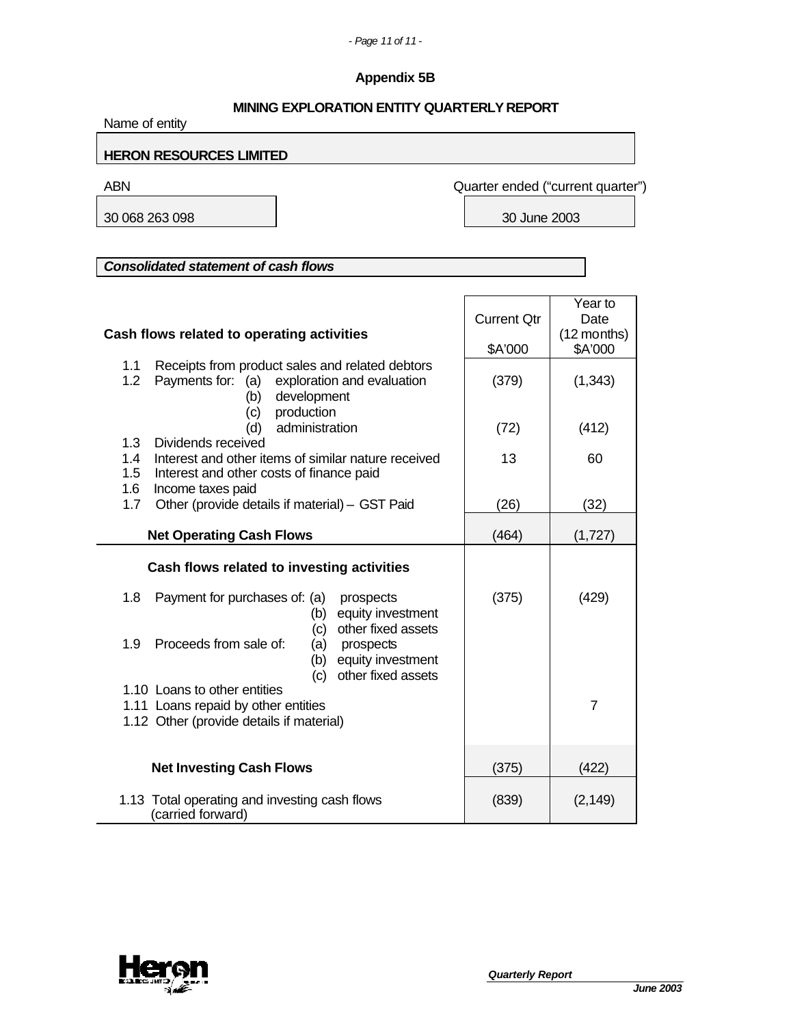# **Appendix 5B**

| <b>MINING EXPLORATION ENTITY QUARTERLY REPORT</b><br>Name of entity                                                                                                    |                               |                                           |  |  |  |
|------------------------------------------------------------------------------------------------------------------------------------------------------------------------|-------------------------------|-------------------------------------------|--|--|--|
| <b>HERON RESOURCES LIMITED</b>                                                                                                                                         |                               |                                           |  |  |  |
| <b>ABN</b>                                                                                                                                                             |                               | Quarter ended ("current quarter")         |  |  |  |
| 30 068 263 098                                                                                                                                                         | 30 June 2003                  |                                           |  |  |  |
|                                                                                                                                                                        |                               |                                           |  |  |  |
| <b>Consolidated statement of cash flows</b>                                                                                                                            |                               |                                           |  |  |  |
| Cash flows related to operating activities                                                                                                                             | <b>Current Qtr</b><br>\$A'000 | Year to<br>Date<br>(12 months)<br>\$A'000 |  |  |  |
| Receipts from product sales and related debtors<br>1.1<br>1.2<br>Payments for: (a) exploration and evaluation<br>development<br>(b)                                    | (379)                         | (1, 343)                                  |  |  |  |
| production<br>(c)<br>administration<br>(d)                                                                                                                             | (72)                          | (412)                                     |  |  |  |
| 1.3<br>Dividends received<br>1.4<br>Interest and other items of similar nature received<br>1.5<br>Interest and other costs of finance paid<br>1.6<br>Income taxes paid | 13                            | 60                                        |  |  |  |
| Other (provide details if material) - GST Paid<br>1.7                                                                                                                  | (26)                          | (32)                                      |  |  |  |
| <b>Net Operating Cash Flows</b>                                                                                                                                        | (464)                         | (1,727)                                   |  |  |  |
| Cash flows related to investing activities                                                                                                                             |                               |                                           |  |  |  |
| 1.8<br>Payment for purchases of: (a)<br>prospects<br>equity investment<br>(b)<br>other fixed assets<br>(c)                                                             | (375)                         | (429)                                     |  |  |  |
| Proceeds from sale of:<br>1.9<br>prospects<br>(a)<br>equity investment<br>(b)<br>(c) other fixed assets                                                                |                               |                                           |  |  |  |
| 1.10 Loans to other entities<br>1.11 Loans repaid by other entities<br>1.12 Other (provide details if material)                                                        |                               | $\overline{7}$                            |  |  |  |
| <b>Net Investing Cash Flows</b>                                                                                                                                        | (375)                         | (422)                                     |  |  |  |
| 1.13 Total operating and investing cash flows<br>(carried forward)                                                                                                     | (839)                         | (2, 149)                                  |  |  |  |

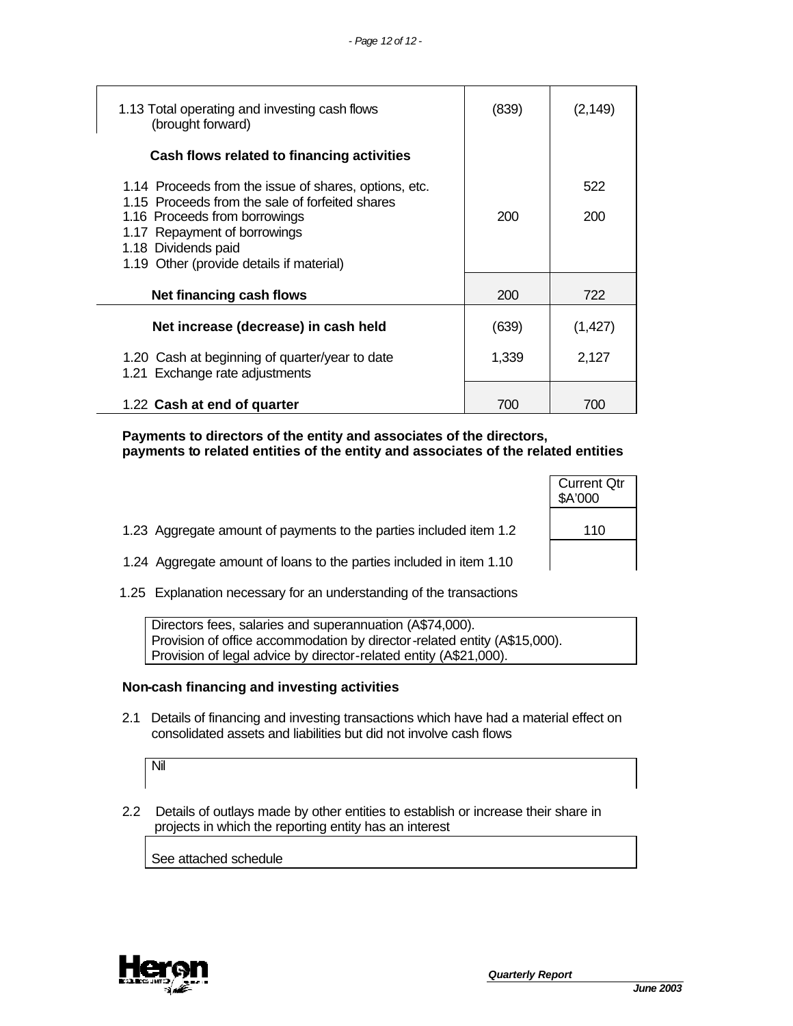| 1.13 Total operating and investing cash flows<br>(brought forward)                                                                                                                                                                           | (839) | (2,149)    |
|----------------------------------------------------------------------------------------------------------------------------------------------------------------------------------------------------------------------------------------------|-------|------------|
| Cash flows related to financing activities                                                                                                                                                                                                   |       |            |
| 1.14 Proceeds from the issue of shares, options, etc.<br>1.15 Proceeds from the sale of forfeited shares<br>1.16 Proceeds from borrowings<br>1.17 Repayment of borrowings<br>1.18 Dividends paid<br>1.19 Other (provide details if material) | 200   | 522<br>200 |
| Net financing cash flows                                                                                                                                                                                                                     | 200   | 722        |
| Net increase (decrease) in cash held                                                                                                                                                                                                         | (639) | (1, 427)   |
| 1.20 Cash at beginning of quarter/year to date<br>1.21 Exchange rate adjustments                                                                                                                                                             | 1,339 | 2,127      |
| 1.22 Cash at end of quarter                                                                                                                                                                                                                  | 700   | 700        |

 **Payments to directors of the entity and associates of the directors, payments to related entities of the entity and associates of the related entities**

- 1.23 Aggregate amount of payments to the parties included item 1.2 | 110
- 1.24 Aggregate amount of loans to the parties included in item 1.10
- 1.25 Explanation necessary for an understanding of the transactions

Directors fees, salaries and superannuation (A\$74,000). Provision of office accommodation by director-related entity (A\$15,000). Provision of legal advice by director-related entity (A\$21,000).

#### **Non-cash financing and investing activities**

 2.1 Details of financing and investing transactions which have had a material effect on consolidated assets and liabilities but did not involve cash flows

Nil

 2.2 Details of outlays made by other entities to establish or increase their share in projects in which the reporting entity has an interest

See attached schedule



Current Qtr \$A'000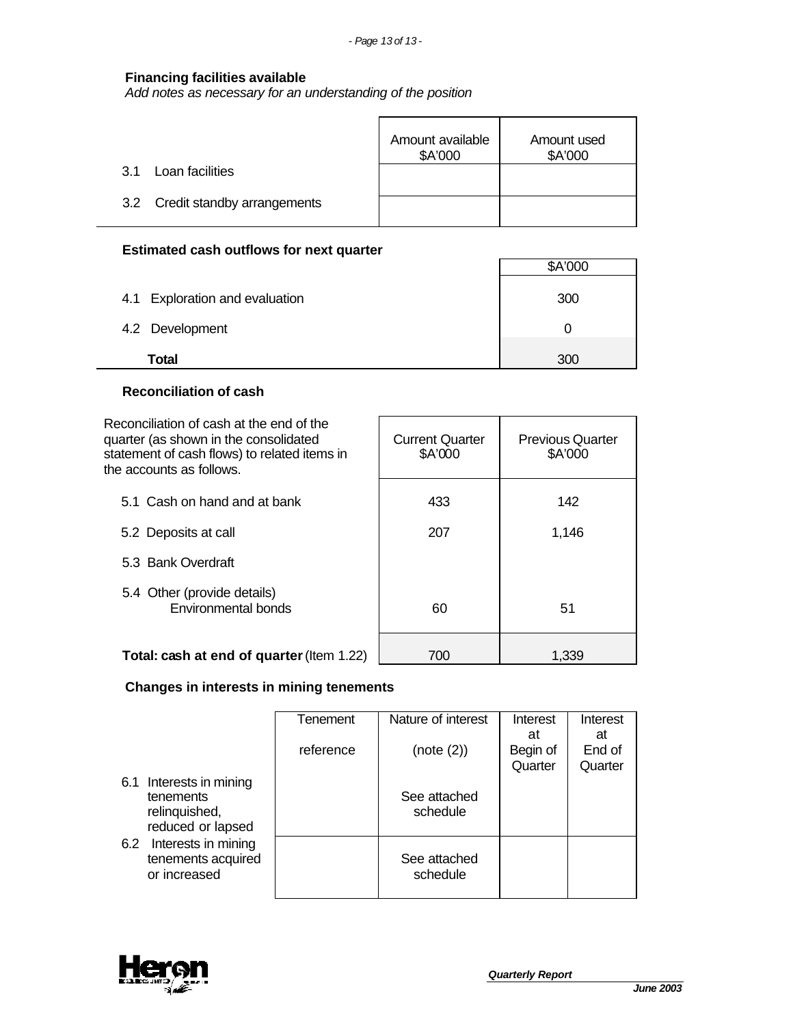### **Financing facilities available**

*Add notes as necessary for an understanding of the position*

|                                 | Amount available<br>\$A'000 | Amount used<br>\$A'000 |
|---------------------------------|-----------------------------|------------------------|
| Loan facilities<br>31 S         |                             |                        |
| 3.2 Credit standby arrangements |                             |                        |

### **Estimated cash outflows for next quarter**

|                                | \$A'000 |
|--------------------------------|---------|
| 4.1 Exploration and evaluation | 300     |
| 4.2 Development                |         |
| <b>Total</b>                   | 300     |

## **Reconciliation of cash**

| Reconciliation of cash at the end of the<br>quarter (as shown in the consolidated<br>statement of cash flows) to related items in<br>the accounts as follows. | <b>Current Quarter</b><br>\$A'000 | <b>Previous Quarter</b><br>\$A'000 |
|---------------------------------------------------------------------------------------------------------------------------------------------------------------|-----------------------------------|------------------------------------|
| 5.1 Cash on hand and at bank                                                                                                                                  | 433                               | 142                                |
| 5.2 Deposits at call                                                                                                                                          | 207                               | 1,146                              |
| 5.3 Bank Overdraft                                                                                                                                            |                                   |                                    |
| 5.4 Other (provide details)<br><b>Environmental bonds</b>                                                                                                     | 60                                | 51                                 |
| Total: cash at end of quarter (Item 1.22)                                                                                                                     | 700                               | 1.339                              |

# **Changes in interests in mining tenements**

|     |                         | Tenement  | Nature of interest | Interest | Interest |
|-----|-------------------------|-----------|--------------------|----------|----------|
|     |                         |           |                    |          |          |
|     |                         |           |                    | at       | at       |
|     |                         | reference | (note (2))         | Begin of | End of   |
|     |                         |           |                    |          |          |
|     |                         |           |                    | Quarter  | Quarter  |
|     |                         |           |                    |          |          |
|     | 6.1 Interests in mining |           |                    |          |          |
|     | tenements               |           | See attached       |          |          |
|     | relinquished,           |           | schedule           |          |          |
|     |                         |           |                    |          |          |
|     | reduced or lapsed       |           |                    |          |          |
|     |                         |           |                    |          |          |
| 6.2 | Interests in mining     |           |                    |          |          |
|     | tenements acquired      |           | See attached       |          |          |
|     |                         |           |                    |          |          |
|     | or increased            |           | schedule           |          |          |
|     |                         |           |                    |          |          |
|     |                         |           |                    |          |          |

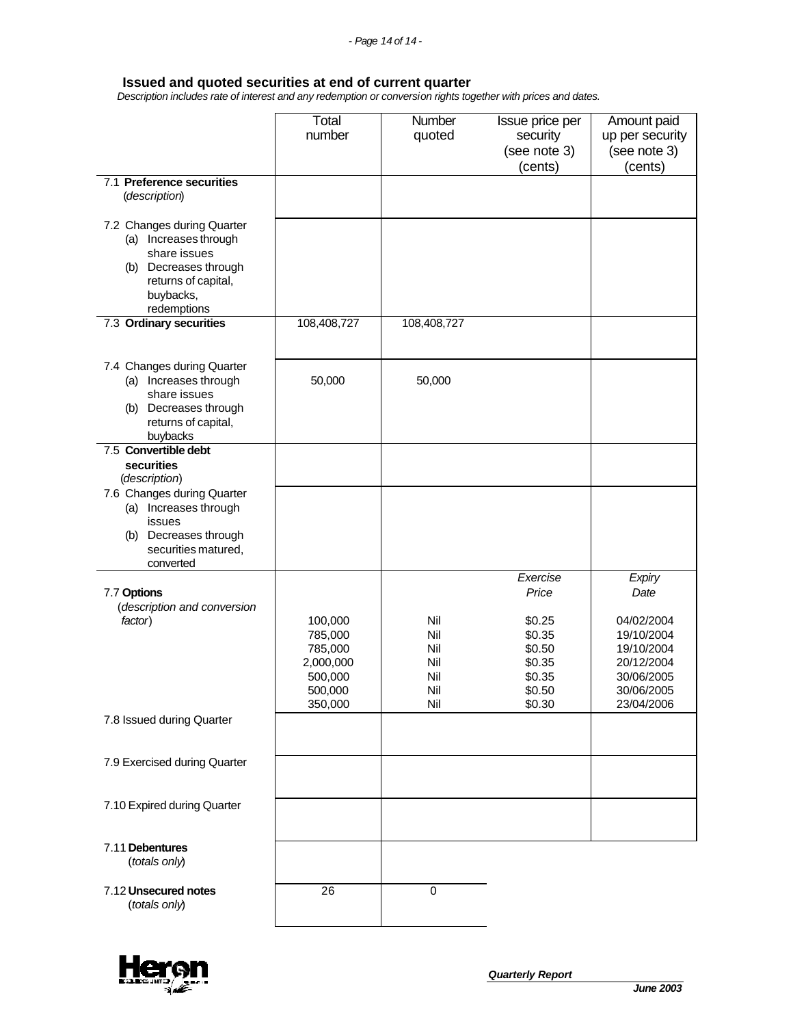#### **Issued and quoted securities at end of current quarter**

 *Description includes rate of interest and any redemption or conversion rights together with prices and dates.*

|                                                                                                                                                 | Total<br>number                                                             | Number<br>quoted                              | Issue price per<br>security<br>(see note 3)<br>(cents)                                  | Amount paid<br>up per security<br>(see note 3)<br>(cents)                                                        |
|-------------------------------------------------------------------------------------------------------------------------------------------------|-----------------------------------------------------------------------------|-----------------------------------------------|-----------------------------------------------------------------------------------------|------------------------------------------------------------------------------------------------------------------|
| 7.1 Preference securities<br>(description)                                                                                                      |                                                                             |                                               |                                                                                         |                                                                                                                  |
| 7.2 Changes during Quarter<br>(a) Increases through<br>share issues<br>(b) Decreases through<br>returns of capital,<br>buybacks,<br>redemptions |                                                                             |                                               |                                                                                         |                                                                                                                  |
| 7.3 Ordinary securities                                                                                                                         | 108,408,727                                                                 | 108,408,727                                   |                                                                                         |                                                                                                                  |
| 7.4 Changes during Quarter<br>(a) Increases through<br>share issues<br>(b) Decreases through<br>returns of capital,<br>buybacks                 | 50,000                                                                      | 50,000                                        |                                                                                         |                                                                                                                  |
| 7.5 Convertible debt<br>securities<br>(description)                                                                                             |                                                                             |                                               |                                                                                         |                                                                                                                  |
| 7.6 Changes during Quarter<br>(a) Increases through<br>issues<br>Decreases through<br>(b)<br>securities matured,<br>converted                   |                                                                             |                                               |                                                                                         |                                                                                                                  |
| 7.7 Options<br>(description and conversion<br>factor)                                                                                           | 100,000<br>785,000<br>785,000<br>2,000,000<br>500,000<br>500,000<br>350,000 | Nil<br>Nil<br>Nil<br>Nil<br>Nil<br>Nil<br>Nil | Exercise<br>Price<br>\$0.25<br>\$0.35<br>\$0.50<br>\$0.35<br>\$0.35<br>\$0.50<br>\$0.30 | Expiry<br>Date<br>04/02/2004<br>19/10/2004<br>19/10/2004<br>20/12/2004<br>30/06/2005<br>30/06/2005<br>23/04/2006 |
| 7.8 Issued during Quarter                                                                                                                       |                                                                             |                                               |                                                                                         |                                                                                                                  |
| 7.9 Exercised during Quarter                                                                                                                    |                                                                             |                                               |                                                                                         |                                                                                                                  |
| 7.10 Expired during Quarter                                                                                                                     |                                                                             |                                               |                                                                                         |                                                                                                                  |
| 7.11 Debentures<br>(totals only)                                                                                                                |                                                                             |                                               |                                                                                         |                                                                                                                  |
| 7.12 Unsecured notes<br>(totals only)                                                                                                           | $\overline{26}$                                                             | 0                                             |                                                                                         |                                                                                                                  |

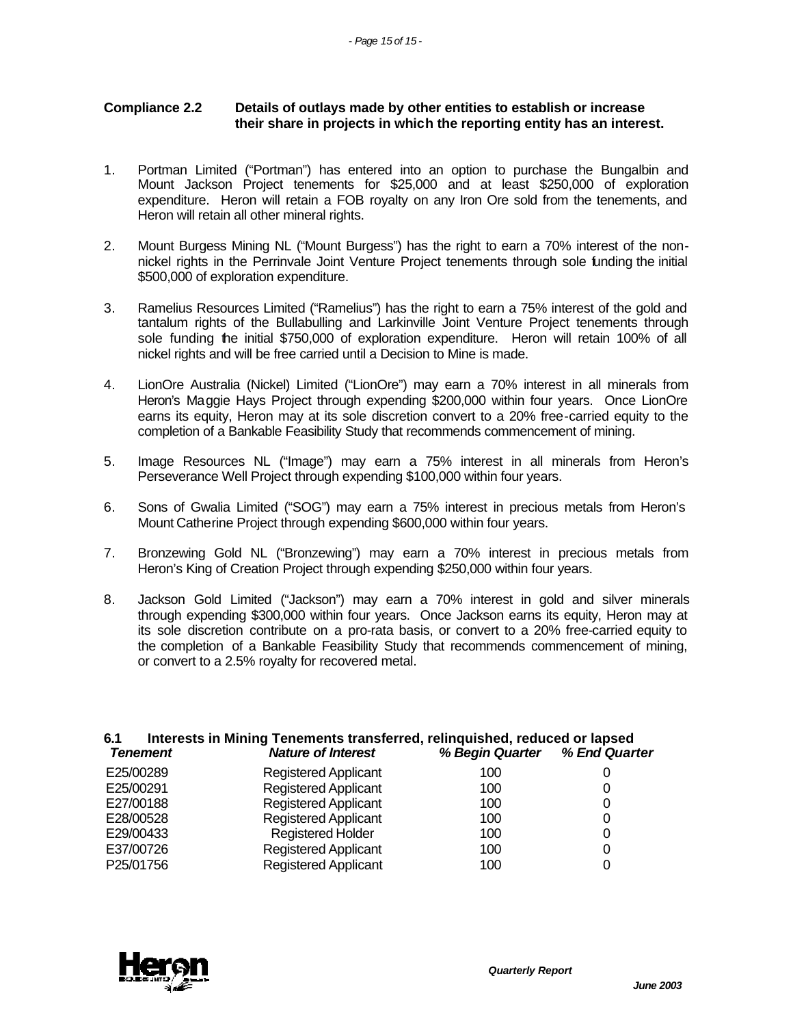## **Compliance 2.2 Details of outlays made by other entities to establish or increase their share in projects in which the reporting entity has an interest.**

- 1. Portman Limited ("Portman") has entered into an option to purchase the Bungalbin and Mount Jackson Project tenements for \$25,000 and at least \$250,000 of exploration expenditure. Heron will retain a FOB royalty on any Iron Ore sold from the tenements, and Heron will retain all other mineral rights.
- 2. Mount Burgess Mining NL ("Mount Burgess") has the right to earn a 70% interest of the nonnickel rights in the Perrinvale Joint Venture Project tenements through sole funding the initial \$500,000 of exploration expenditure.
- 3. Ramelius Resources Limited ("Ramelius") has the right to earn a 75% interest of the gold and tantalum rights of the Bullabulling and Larkinville Joint Venture Project tenements through sole funding the initial \$750,000 of exploration expenditure. Heron will retain 100% of all nickel rights and will be free carried until a Decision to Mine is made.
- 4. LionOre Australia (Nickel) Limited ("LionOre") may earn a 70% interest in all minerals from Heron's Maggie Hays Project through expending \$200,000 within four years. Once LionOre earns its equity, Heron may at its sole discretion convert to a 20% free-carried equity to the completion of a Bankable Feasibility Study that recommends commencement of mining.
- 5. Image Resources NL ("Image") may earn a 75% interest in all minerals from Heron's Perseverance Well Project through expending \$100,000 within four years.
- 6. Sons of Gwalia Limited ("SOG") may earn a 75% interest in precious metals from Heron's Mount Catherine Project through expending \$600,000 within four years.
- 7. Bronzewing Gold NL ("Bronzewing") may earn a 70% interest in precious metals from Heron's King of Creation Project through expending \$250,000 within four years.
- 8. Jackson Gold Limited ("Jackson") may earn a 70% interest in gold and silver minerals through expending \$300,000 within four years. Once Jackson earns its equity, Heron may at its sole discretion contribute on a pro-rata basis, or convert to a 20% free-carried equity to the completion of a Bankable Feasibility Study that recommends commencement of mining, or convert to a 2.5% royalty for recovered metal.

|                             |                                                          | O                                                                                                                  |
|-----------------------------|----------------------------------------------------------|--------------------------------------------------------------------------------------------------------------------|
| <b>Registered Applicant</b> | 100                                                      | 0                                                                                                                  |
| Registered Applicant        | 100                                                      | 0                                                                                                                  |
| <b>Registered Applicant</b> | 100                                                      | 0                                                                                                                  |
| <b>Registered Holder</b>    | 100                                                      | 0                                                                                                                  |
| <b>Registered Applicant</b> | 100                                                      | 0                                                                                                                  |
| <b>Registered Applicant</b> | 100                                                      |                                                                                                                    |
|                             | <b>Nature of Interest</b><br><b>Registered Applicant</b> | Interests in Mining Tenements transferred, relinquished, reduced or lapsed<br>% Begin Quarter % End Quarter<br>100 |